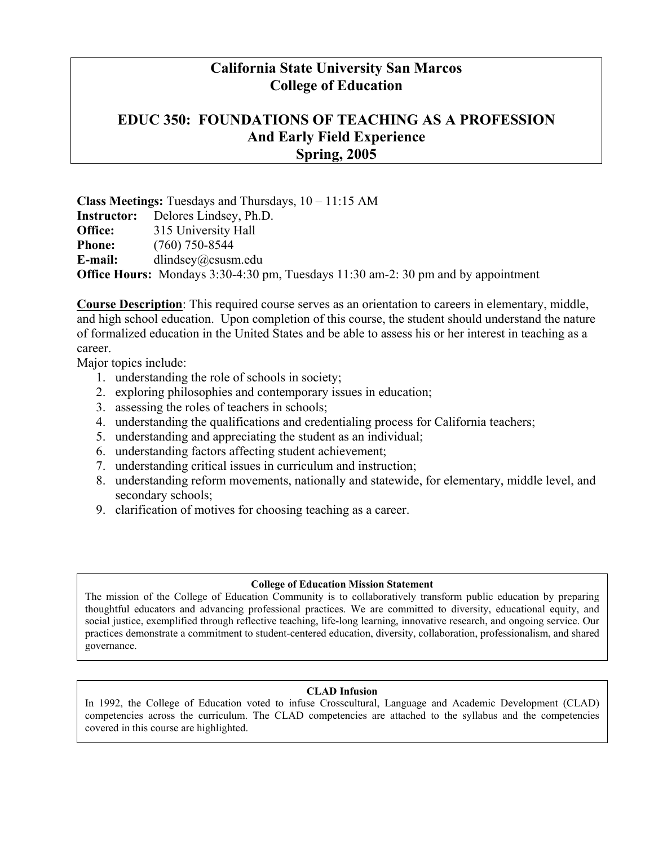# **California State University San Marcos College of Education**

# **EDUC 350: FOUNDATIONS OF TEACHING AS A PROFESSION And Early Field Experience Spring, 2005**

**Class Meetings:** Tuesdays and Thursdays, 10 – 11:15 AM **Instructor:** Delores Lindsey, Ph.D. **Office:** 315 University Hall **Phone:** (760) 750-8544 **E-mail:** dlindsey@csusm.edu **Office Hours:** Mondays 3:30-4:30 pm, Tuesdays 11:30 am-2: 30 pm and by appointment

**Course Description**: This required course serves as an orientation to careers in elementary, middle, and high school education. Upon completion of this course, the student should understand the nature of formalized education in the United States and be able to assess his or her interest in teaching as a career.

Major topics include:

- 1. understanding the role of schools in society;
- 2. exploring philosophies and contemporary issues in education;
- 3. assessing the roles of teachers in schools;
- 4. understanding the qualifications and credentialing process for California teachers;
- 5. understanding and appreciating the student as an individual;
- 6. understanding factors affecting student achievement;
- 7. understanding critical issues in curriculum and instruction;
- 8. understanding reform movements, nationally and statewide, for elementary, middle level, and secondary schools;
- 9. clarification of motives for choosing teaching as a career.

#### **College of Education Mission Statement**

The mission of the College of Education Community is to collaboratively transform public education by preparing thoughtful educators and advancing professional practices. We are committed to diversity, educational equity, and social justice, exemplified through reflective teaching, life-long learning, innovative research, and ongoing service. Our practices demonstrate a commitment to student-centered education, diversity, collaboration, professionalism, and shared governance.

#### **CLAD Infusion**

In 1992, the College of Education voted to infuse Crosscultural, Language and Academic Development (CLAD) competencies across the curriculum. The CLAD competencies are attached to the syllabus and the competencies covered in this course are highlighted.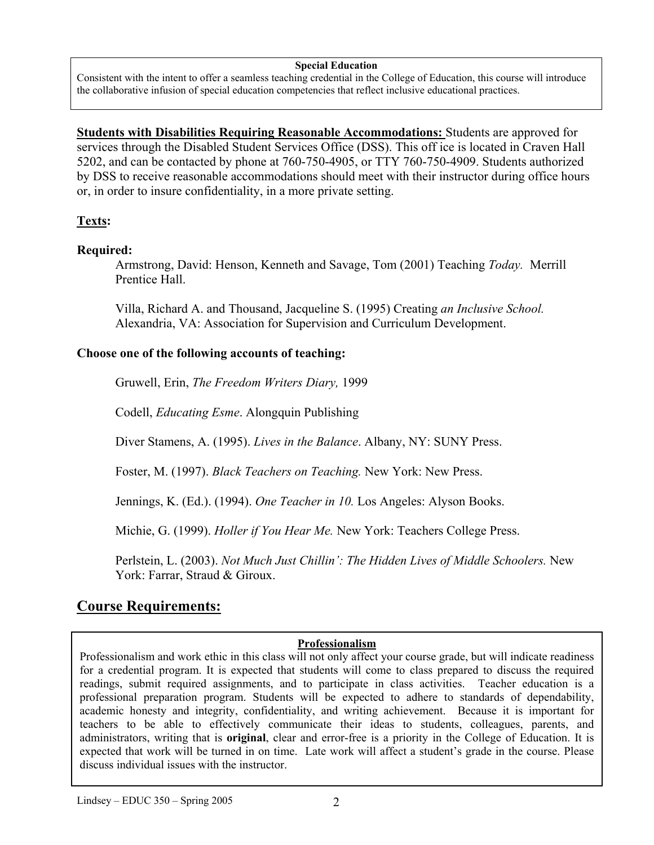#### **Special Education**

Consistent with the intent to offer a seamless teaching credential in the College of Education, this course will introduce the collaborative infusion of special education competencies that reflect inclusive educational practices.

**Students with Disabilities Requiring Reasonable Accommodations:** Students are approved for services through the Disabled Student Services Office (DSS). This off ice is located in Craven Hall 5202, and can be contacted by phone at 760-750-4905, or TTY 760-750-4909. Students authorized by DSS to receive reasonable accommodations should meet with their instructor during office hours or, in order to insure confidentiality, in a more private setting.

## **Texts:**

#### **Required:**

Armstrong, David: Henson, Kenneth and Savage, Tom (2001) Teaching *Today.* Merrill Prentice Hall.

Villa, Richard A. and Thousand, Jacqueline S. (1995) Creating *an Inclusive School.*  Alexandria, VA: Association for Supervision and Curriculum Development.

#### **Choose one of the following accounts of teaching:**

Gruwell, Erin, *The Freedom Writers Diary,* 1999

Codell, *Educating Esme*. Alongquin Publishing

Diver Stamens, A. (1995). *Lives in the Balance*. Albany, NY: SUNY Press.

Foster, M. (1997). *Black Teachers on Teaching.* New York: New Press.

Jennings, K. (Ed.). (1994). *One Teacher in 10.* Los Angeles: Alyson Books.

Michie, G. (1999). *Holler if You Hear Me.* New York: Teachers College Press.

Perlstein, L. (2003). *Not Much Just Chillin': The Hidden Lives of Middle Schoolers*. New York: Farrar, Straud & Giroux.

# **Course Requirements:**

## **Professionalism**

Professionalism and work ethic in this class will not only affect your course grade, but will indicate readiness for a credential program. It is expected that students will come to class prepared to discuss the required readings, submit required assignments, and to participate in class activities. Teacher education is a professional preparation program. Students will be expected to adhere to standards of dependability, academic honesty and integrity, confidentiality, and writing achievement. Because it is important for teachers to be able to effectively communicate their ideas to students, colleagues, parents, and administrators, writing that is **original**, clear and error-free is a priority in the College of Education. It is expected that work will be turned in on time. Late work will affect a student's grade in the course. Please discuss individual issues with the instructor.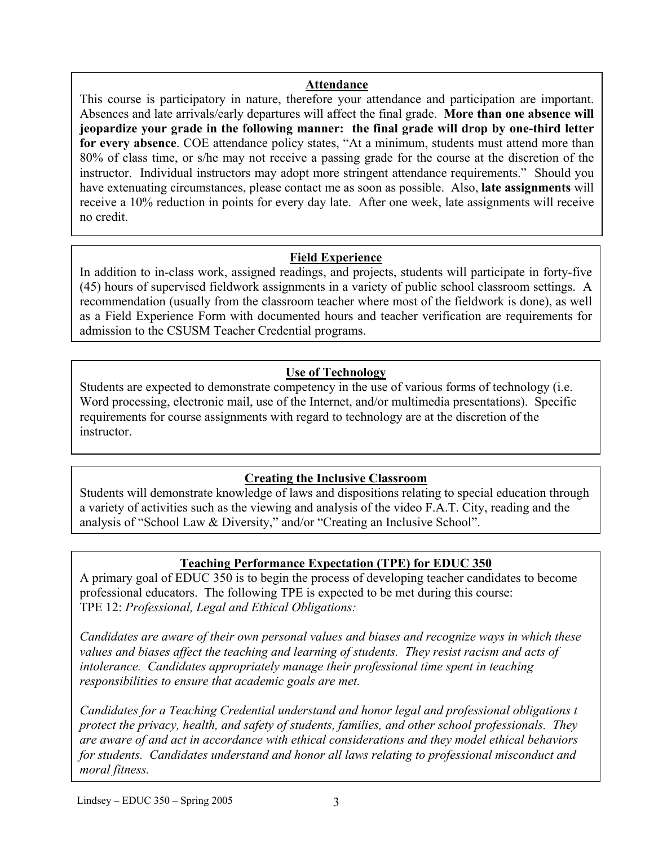#### **Attendance**

Absences and late arrivals/early departures will affect the final grade. **More than one absence will** This course is participatory in nature, therefore your attendance and participation are important. **jeopardize your grade in the following manner: the final grade will drop by one-third letter for every absence**. COE attendance policy states, "At a minimum, students must attend more than 80% of class time, or s/he may not receive a passing grade for the course at the discretion of the instructor. Individual instructors may adopt more stringent attendance requirements." Should you have extenuating circumstances, please contact me as soon as possible. Also, **late assignments** will receive a 10% reduction in points for every day late. After one week, late assignments will receive no credit.

## **Field Experience**

In addition to in-class work, assigned readings, and projects, students will participate in forty-five (45) hours of supervised fieldwork assignments in a variety of public school classroom settings. A recommendation (usually from the classroom teacher where most of the fieldwork is done), as well as a Field Experience Form with documented hours and teacher verification are requirements for admission to the CSUSM Teacher Credential programs.

# **Use of Technology**

Students are expected to demonstrate competency in the use of various forms of technology (i.e. Word processing, electronic mail, use of the Internet, and/or multimedia presentations). Specific requirements for course assignments with regard to technology are at the discretion of the instructor.

## **Creating the Inclusive Classroom**

Students will demonstrate knowledge of laws and dispositions relating to special education through a variety of activities such as the viewing and analysis of the video F.A.T. City, reading and the analysis of "School Law & Diversity," and/or "Creating an Inclusive School".

# **Teaching Performance Expectation (TPE) for EDUC 350**

A primary goal of EDUC 350 is to begin the process of developing teacher candidates to become professional educators. The following TPE is expected to be met during this course: TPE 12: *Professional, Legal and Ethical Obligations:* 

*Candidates are aware of their own personal values and biases and recognize ways in which these values and biases affect the teaching and learning of students. They resist racism and acts of intolerance. Candidates appropriately manage their professional time spent in teaching responsibilities to ensure that academic goals are met.* 

*Candidates for a Teaching Credential understand and honor legal and professional obligations t protect the privacy, health, and safety of students, families, and other school professionals. They are aware of and act in accordance with ethical considerations and they model ethical behaviors for students. Candidates understand and honor all laws relating to professional misconduct and moral fitness.*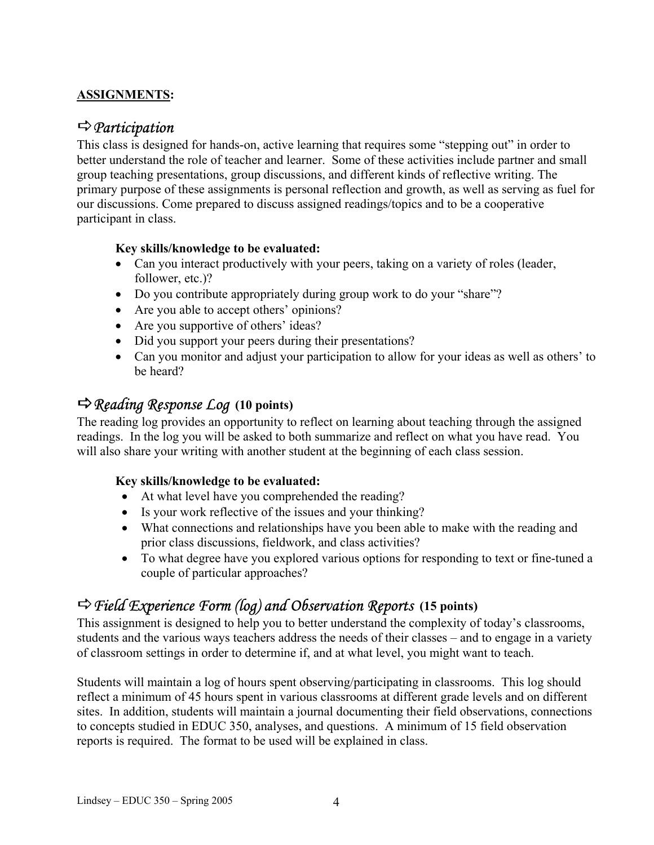## **ASSIGNMENTS:**

# D*Participation*

This class is designed for hands-on, active learning that requires some "stepping out" in order to better understand the role of teacher and learner. Some of these activities include partner and small group teaching presentations, group discussions, and different kinds of reflective writing. The primary purpose of these assignments is personal reflection and growth, as well as serving as fuel for our discussions. Come prepared to discuss assigned readings/topics and to be a cooperative participant in class.

## **Key skills/knowledge to be evaluated:**

- Can you interact productively with your peers, taking on a variety of roles (leader, follower, etc.)?
- Do you contribute appropriately during group work to do your "share"?
- Are you able to accept others' opinions?
- Are you supportive of others' ideas?
- Did you support your peers during their presentations?
- Can you monitor and adjust your participation to allow for your ideas as well as others' to be heard?

# D*Reading Response Log* **(10 points)**

The reading log provides an opportunity to reflect on learning about teaching through the assigned readings. In the log you will be asked to both summarize and reflect on what you have read. You will also share your writing with another student at the beginning of each class session.

## **Key skills/knowledge to be evaluated:**

- At what level have you comprehended the reading?
- Is your work reflective of the issues and your thinking?
- What connections and relationships have you been able to make with the reading and prior class discussions, fieldwork, and class activities?
- To what degree have you explored various options for responding to text or fine-tuned a couple of particular approaches?

# D*Field Experience Form (log) and Observation Reports* **(15 points)**

This assignment is designed to help you to better understand the complexity of today's classrooms, students and the various ways teachers address the needs of their classes – and to engage in a variety of classroom settings in order to determine if, and at what level, you might want to teach.

Students will maintain a log of hours spent observing/participating in classrooms. This log should reflect a minimum of 45 hours spent in various classrooms at different grade levels and on different sites. In addition, students will maintain a journal documenting their field observations, connections to concepts studied in EDUC 350, analyses, and questions. A minimum of 15 field observation reports is required. The format to be used will be explained in class.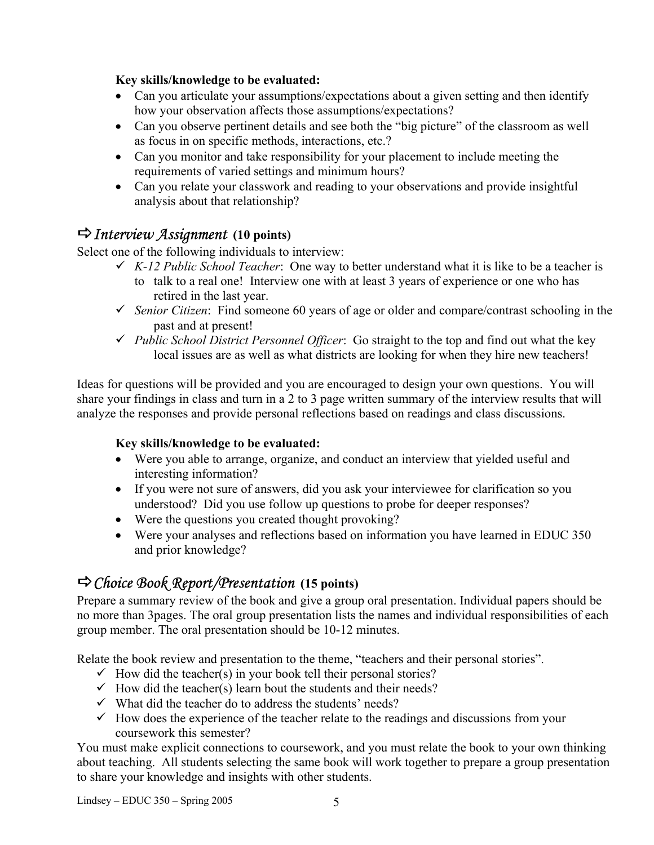## **Key skills/knowledge to be evaluated:**

- Can you articulate your assumptions/expectations about a given setting and then identify how your observation affects those assumptions/expectations?
- Can you observe pertinent details and see both the "big picture" of the classroom as well as focus in on specific methods, interactions, etc.?
- Can you monitor and take responsibility for your placement to include meeting the requirements of varied settings and minimum hours?
- Can you relate your classwork and reading to your observations and provide insightful analysis about that relationship?

# D*Interview Assignment* **(10 points)**

Select one of the following individuals to interview:

- $\checkmark$  *K-12 Public School Teacher*: One way to better understand what it is like to be a teacher is
	- to talk to a real one! Interview one with at least 3 years of experience or one who has retired in the last year.
- 9 *Senior Citizen*: Find someone 60 years of age or older and compare/contrast schooling in the past and at present!
- 9 *Public School District Personnel Officer*: Go straight to the top and find out what the key local issues are as well as what districts are looking for when they hire new teachers!

Ideas for questions will be provided and you are encouraged to design your own questions. You will share your findings in class and turn in a 2 to 3 page written summary of the interview results that will analyze the responses and provide personal reflections based on readings and class discussions.

## **Key skills/knowledge to be evaluated:**

- Were you able to arrange, organize, and conduct an interview that yielded useful and interesting information?
- If you were not sure of answers, did you ask your interviewee for clarification so you understood? Did you use follow up questions to probe for deeper responses?
- Were the questions you created thought provoking?
- Were your analyses and reflections based on information you have learned in EDUC 350 and prior knowledge?

# D*Choice Book Report/Presentation* **(15 points)**

Prepare a summary review of the book and give a group oral presentation. Individual papers should be no more than 3pages. The oral group presentation lists the names and individual responsibilities of each group member. The oral presentation should be 10-12 minutes.

Relate the book review and presentation to the theme, "teachers and their personal stories".

- $\checkmark$  How did the teacher(s) in your book tell their personal stories?
- $\checkmark$  How did the teacher(s) learn bout the students and their needs?
- $\checkmark$  What did the teacher do to address the students' needs?
- $\checkmark$  How does the experience of the teacher relate to the readings and discussions from your coursework this semester?

You must make explicit connections to coursework, and you must relate the book to your own thinking about teaching. All students selecting the same book will work together to prepare a group presentation to share your knowledge and insights with other students.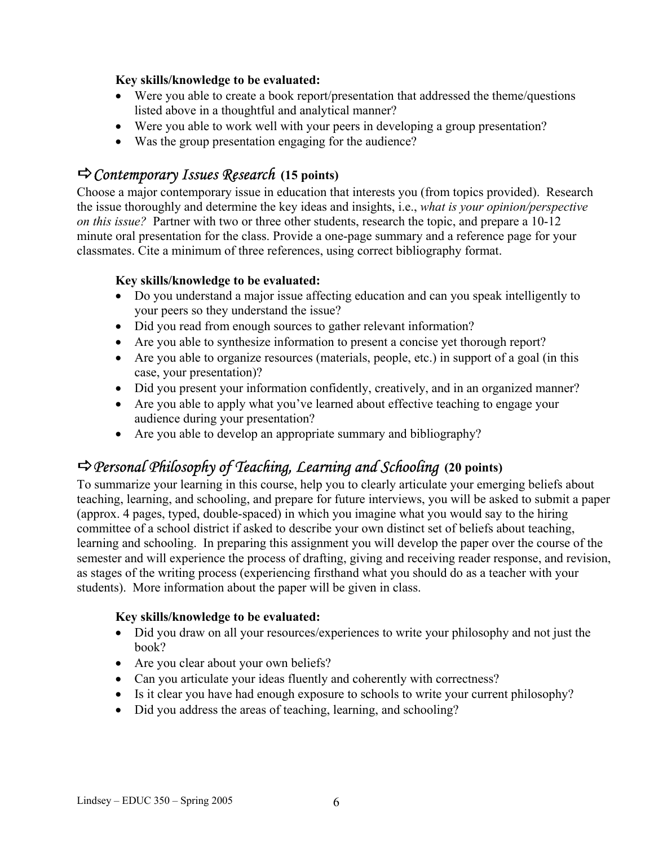## **Key skills/knowledge to be evaluated:**

- Were you able to create a book report/presentation that addressed the theme/questions listed above in a thoughtful and analytical manner?
- Were you able to work well with your peers in developing a group presentation?
- Was the group presentation engaging for the audience?

# D*Contemporary Issues Research* **(15 points)**

Choose a major contemporary issue in education that interests you (from topics provided). Research the issue thoroughly and determine the key ideas and insights, i.e., *what is your opinion/perspective on this issue?* Partner with two or three other students, research the topic, and prepare a 10-12 minute oral presentation for the class. Provide a one-page summary and a reference page for your classmates. Cite a minimum of three references, using correct bibliography format.

## **Key skills/knowledge to be evaluated:**

- Do you understand a major issue affecting education and can you speak intelligently to your peers so they understand the issue?
- Did you read from enough sources to gather relevant information?
- Are you able to synthesize information to present a concise yet thorough report?
- Are you able to organize resources (materials, people, etc.) in support of a goal (in this case, your presentation)?
- Did you present your information confidently, creatively, and in an organized manner?
- Are you able to apply what you've learned about effective teaching to engage your audience during your presentation?
- Are you able to develop an appropriate summary and bibliography?

# D*Personal Philosophy of Teaching, Learning and Schooling* **(20 points)**

To summarize your learning in this course, help you to clearly articulate your emerging beliefs about teaching, learning, and schooling, and prepare for future interviews, you will be asked to submit a paper (approx. 4 pages, typed, double-spaced) in which you imagine what you would say to the hiring committee of a school district if asked to describe your own distinct set of beliefs about teaching, learning and schooling. In preparing this assignment you will develop the paper over the course of the semester and will experience the process of drafting, giving and receiving reader response, and revision, as stages of the writing process (experiencing firsthand what you should do as a teacher with your students). More information about the paper will be given in class.

## **Key skills/knowledge to be evaluated:**

- Did you draw on all your resources/experiences to write your philosophy and not just the book?
- Are you clear about your own beliefs?
- Can you articulate your ideas fluently and coherently with correctness?
- Is it clear you have had enough exposure to schools to write your current philosophy?
- Did you address the areas of teaching, learning, and schooling?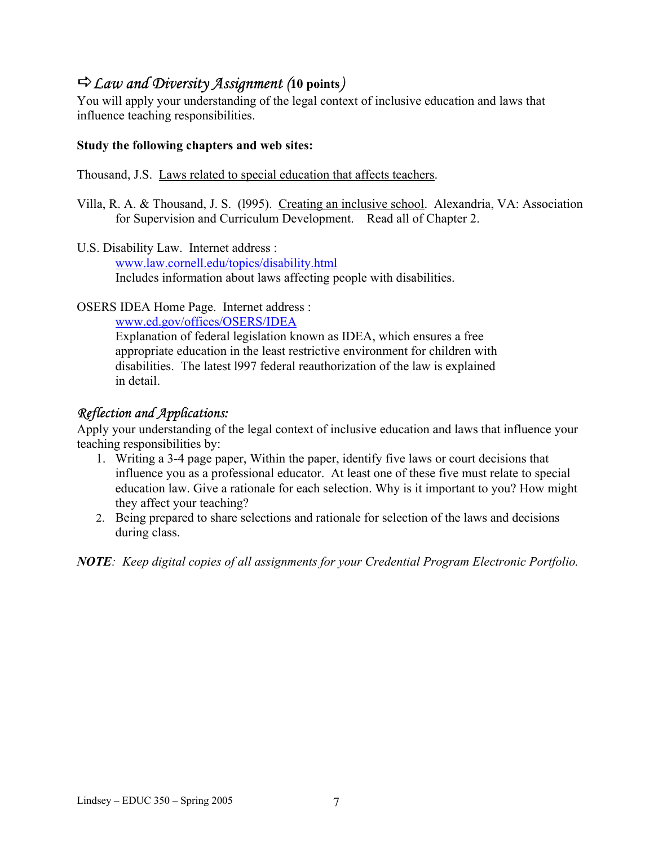# D*Law and Diversity Assignment (***10 points***)*

You will apply your understanding of the legal context of inclusive education and laws that influence teaching responsibilities.

## **Study the following chapters and web sites:**

Thousand, J.S. Laws related to special education that affects teachers.

- Villa, R. A. & Thousand, J. S. (l995). Creating an inclusive school. Alexandria, VA: Association for Supervision and Curriculum Development. Read all of Chapter 2.
- U.S. Disability Law. Internet address : www.law.cornell.edu/topics/disability.html Includes information about laws affecting people with disabilities.

OSERS IDEA Home Page. Internet address :

www.ed.gov/offices/OSERS/IDEA

Explanation of federal legislation known as IDEA, which ensures a free appropriate education in the least restrictive environment for children with disabilities. The latest l997 federal reauthorization of the law is explained in detail.

# *Reflection and Applications:*

Apply your understanding of the legal context of inclusive education and laws that influence your teaching responsibilities by:

- 1. Writing a 3-4 page paper, Within the paper, identify five laws or court decisions that influence you as a professional educator. At least one of these five must relate to special education law. Give a rationale for each selection. Why is it important to you? How might they affect your teaching?
- 2. Being prepared to share selections and rationale for selection of the laws and decisions during class.

*NOTE: Keep digital copies of all assignments for your Credential Program Electronic Portfolio.*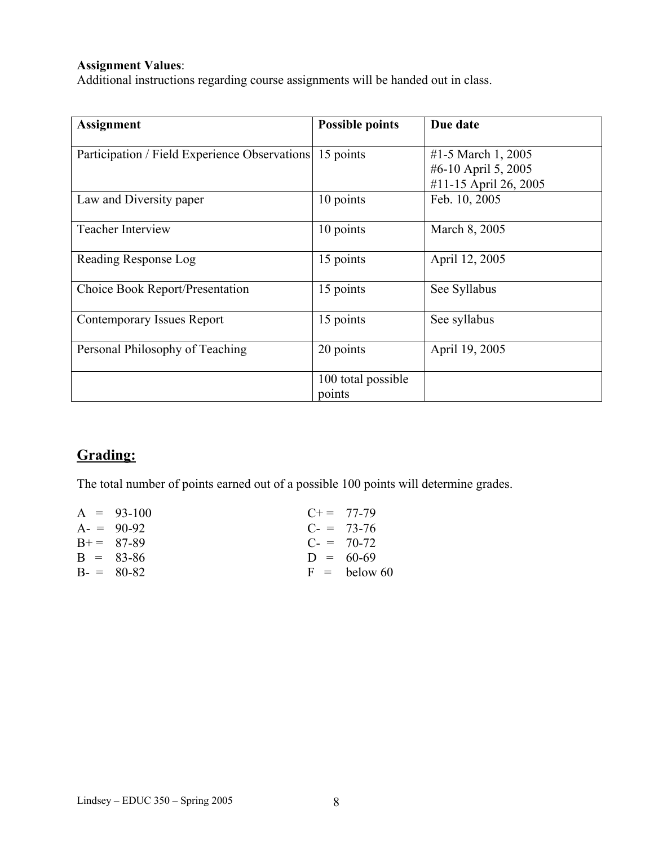## **Assignment Values**:

Additional instructions regarding course assignments will be handed out in class.

| <b>Assignment</b>                             | <b>Possible points</b>       | Due date                                                           |
|-----------------------------------------------|------------------------------|--------------------------------------------------------------------|
| Participation / Field Experience Observations | 15 points                    | #1-5 March 1, 2005<br>#6-10 April 5, 2005<br>#11-15 April 26, 2005 |
| Law and Diversity paper                       | 10 points                    | Feb. 10, 2005                                                      |
| <b>Teacher Interview</b>                      | 10 points                    | March 8, 2005                                                      |
| Reading Response Log                          | 15 points                    | April 12, 2005                                                     |
| Choice Book Report/Presentation               | 15 points                    | See Syllabus                                                       |
| <b>Contemporary Issues Report</b>             | 15 points                    | See syllabus                                                       |
| Personal Philosophy of Teaching               | 20 points                    | April 19, 2005                                                     |
|                                               | 100 total possible<br>points |                                                                    |

# **Grading:**

The total number of points earned out of a possible 100 points will determine grades.

| $C+=77-79$     |
|----------------|
| $C = 73-76$    |
| $C = 70-72$    |
| $D = 60-69$    |
| $F =$ below 60 |
|                |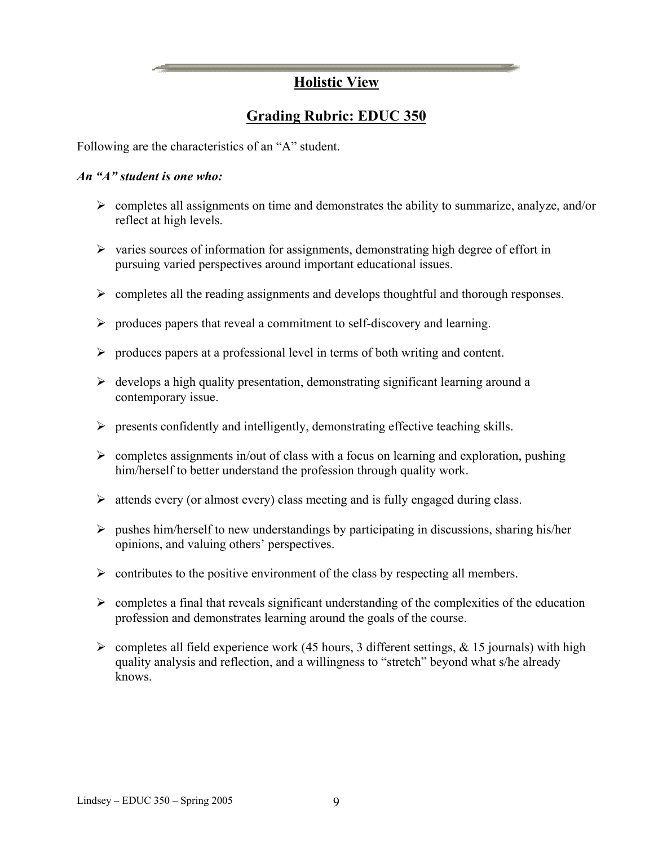# **Holistic View**

# **Grading Rubric: EDUC 350**

Following are the characteristics of an "A" student.

#### *An "A" student is one who:*

- $\triangleright$  completes all assignments on time and demonstrates the ability to summarize, analyze, and/or reflect at high levels.
- $\triangleright$  varies sources of information for assignments, demonstrating high degree of effort in pursuing varied perspectives around important educational issues.
- $\triangleright$  completes all the reading assignments and develops thoughtful and thorough responses.
- $\triangleright$  produces papers that reveal a commitment to self-discovery and learning.
- $\triangleright$  produces papers at a professional level in terms of both writing and content.
- $\triangleright$  develops a high quality presentation, demonstrating significant learning around a contemporary issue.
- $\triangleright$  presents confidently and intelligently, demonstrating effective teaching skills.
- $\triangleright$  completes assignments in/out of class with a focus on learning and exploration, pushing him/herself to better understand the profession through quality work.
- $\triangleright$  attends every (or almost every) class meeting and is fully engaged during class.
- $\triangleright$  pushes him/herself to new understandings by participating in discussions, sharing his/her opinions, and valuing others' perspectives.
- $\triangleright$  contributes to the positive environment of the class by respecting all members.
- $\triangleright$  completes a final that reveals significant understanding of the complexities of the education profession and demonstrates learning around the goals of the course.
- $\triangleright$  completes all field experience work (45 hours, 3 different settings, & 15 journals) with high quality analysis and reflection, and a willingness to "stretch" beyond what s/he already knows.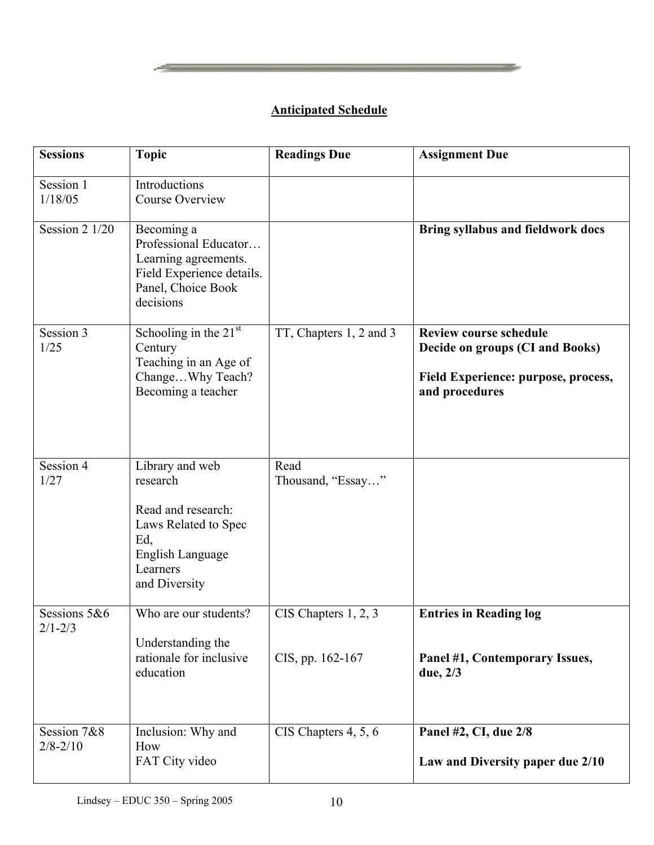# **Anticipated Schedule**

| <b>Sessions</b>             | <b>Topic</b>                                                                                                                      | <b>Readings Due</b>                      | <b>Assignment Due</b>                                                                                                     |
|-----------------------------|-----------------------------------------------------------------------------------------------------------------------------------|------------------------------------------|---------------------------------------------------------------------------------------------------------------------------|
| Session 1<br>1/18/05        | Introductions<br><b>Course Overview</b>                                                                                           |                                          |                                                                                                                           |
| Session 2 1/20              | Becoming a<br>Professional Educator<br>Learning agreements.<br>Field Experience details.<br>Panel, Choice Book<br>decisions       |                                          | Bring syllabus and fieldwork docs                                                                                         |
| Session 3<br>1/25           | Schooling in the $21st$<br>Century<br>Teaching in an Age of<br>ChangeWhy Teach?<br>Becoming a teacher                             | TT, Chapters 1, 2 and 3                  | <b>Review course schedule</b><br>Decide on groups (CI and Books)<br>Field Experience: purpose, process,<br>and procedures |
| Session 4<br>1/27           | Library and web<br>research<br>Read and research:<br>Laws Related to Spec<br>Ed,<br>English Language<br>Learners<br>and Diversity | Read<br>Thousand, "Essay"                |                                                                                                                           |
| Sessions 5&6<br>$2/1 - 2/3$ | Who are our students?<br>Understanding the<br>rationale for inclusive<br>education                                                | CIS Chapters 1, 2, 3<br>CIS, pp. 162-167 | <b>Entries in Reading log</b><br>Panel #1, Contemporary Issues,<br>due, 2/3                                               |
| Session 7&8<br>$2/8 - 2/10$ | Inclusion: Why and<br>How<br>FAT City video                                                                                       | CIS Chapters 4, 5, 6                     | Panel #2, CI, due 2/8<br>Law and Diversity paper due 2/10                                                                 |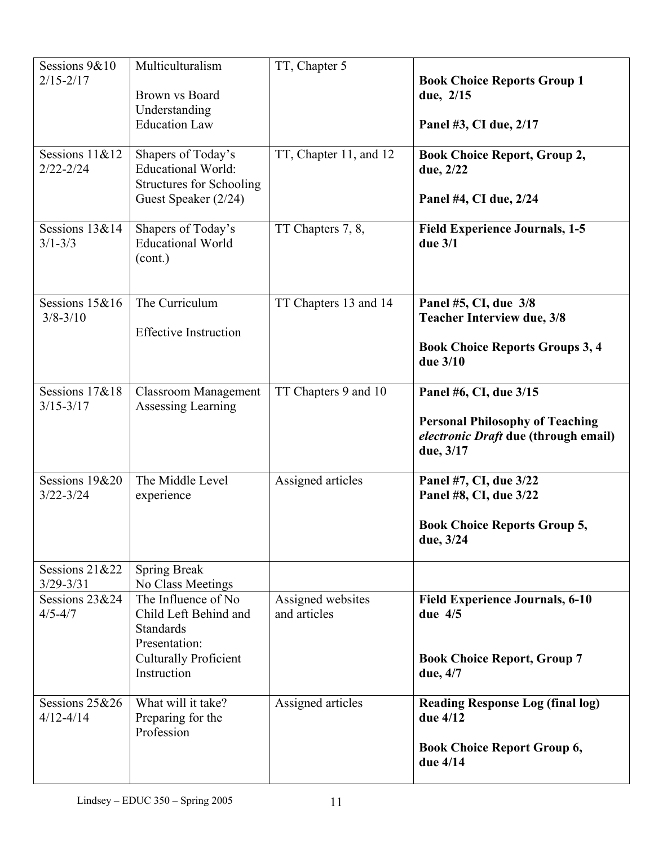| Sessions 9&10<br>$2/15 - 2/17$<br>Sessions 11&12<br>$2/22 - 2/24$ | Multiculturalism<br>Brown vs Board<br>Understanding<br><b>Education Law</b><br>Shapers of Today's<br><b>Educational World:</b><br><b>Structures for Schooling</b><br>Guest Speaker (2/24) | TT, Chapter 5<br>TT, Chapter 11, and 12 | <b>Book Choice Reports Group 1</b><br>due, 2/15<br>Panel #3, CI due, 2/17<br><b>Book Choice Report, Group 2,</b><br>due, 2/22<br>Panel #4, CI due, 2/24 |
|-------------------------------------------------------------------|-------------------------------------------------------------------------------------------------------------------------------------------------------------------------------------------|-----------------------------------------|---------------------------------------------------------------------------------------------------------------------------------------------------------|
| Sessions 13&14<br>$3/1 - 3/3$                                     | Shapers of Today's<br><b>Educational World</b><br>(cont.)                                                                                                                                 | TT Chapters 7, 8,                       | <b>Field Experience Journals, 1-5</b><br>due $3/1$                                                                                                      |
| Sessions 15&16<br>$3/8 - 3/10$                                    | The Curriculum<br><b>Effective Instruction</b>                                                                                                                                            | TT Chapters 13 and 14                   | Panel #5, CI, due 3/8<br><b>Teacher Interview due, 3/8</b><br><b>Book Choice Reports Groups 3, 4</b><br>due 3/10                                        |
| Sessions 17&18<br>$3/15 - 3/17$                                   | <b>Classroom Management</b><br>Assessing Learning                                                                                                                                         | TT Chapters 9 and 10                    | Panel #6, CI, due 3/15<br><b>Personal Philosophy of Teaching</b><br>electronic Draft due (through email)<br>due, 3/17                                   |
| Sessions 19&20<br>$3/22 - 3/24$                                   | The Middle Level<br>experience                                                                                                                                                            | Assigned articles                       | Panel #7, CI, due 3/22<br>Panel #8, CI, due 3/22<br><b>Book Choice Reports Group 5,</b><br>due, 3/24                                                    |
| Sessions $21&22$<br>$3/29 - 3/31$                                 | <b>Spring Break</b><br>No Class Meetings                                                                                                                                                  |                                         |                                                                                                                                                         |
| Sessions 23&24<br>$4/5 - 4/7$                                     | The Influence of No<br>Child Left Behind and<br><b>Standards</b><br>Presentation:<br><b>Culturally Proficient</b><br>Instruction                                                          | Assigned websites<br>and articles       | <b>Field Experience Journals, 6-10</b><br>due $4/5$<br><b>Book Choice Report, Group 7</b><br>due, 4/7                                                   |
| Sessions 25&26<br>$4/12 - 4/14$                                   | What will it take?<br>Preparing for the<br>Profession                                                                                                                                     | Assigned articles                       | <b>Reading Response Log (final log)</b><br>due 4/12<br><b>Book Choice Report Group 6,</b><br>due 4/14                                                   |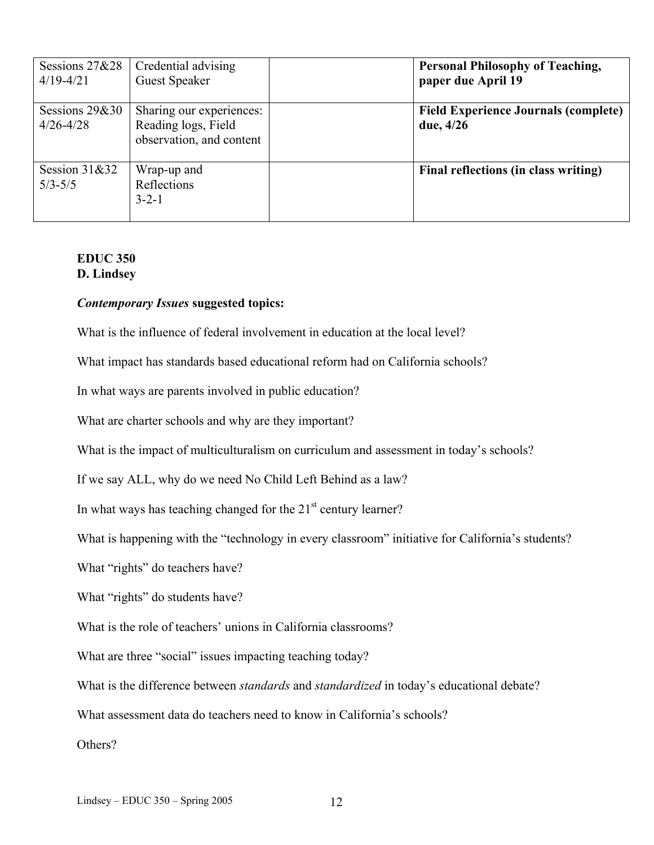| Sessions $27&28$<br>$4/19 - 4/21$ | Credential advising<br><b>Guest Speaker</b>                                 | <b>Personal Philosophy of Teaching,</b><br>paper due April 19 |
|-----------------------------------|-----------------------------------------------------------------------------|---------------------------------------------------------------|
| Sessions $29&30$<br>$4/26 - 4/28$ | Sharing our experiences:<br>Reading logs, Field<br>observation, and content | <b>Field Experience Journals (complete)</b><br>due, 4/26      |
| Session $31&32$<br>$5/3 - 5/5$    | Wrap-up and<br>Reflections<br>$3 - 2 - 1$                                   | Final reflections (in class writing)                          |

#### **EDUC 350 D. Lindsey**

#### *Contemporary Issues* **suggested topics:**

What is the influence of federal involvement in education at the local level?

What impact has standards based educational reform had on California schools?

In what ways are parents involved in public education?

What are charter schools and why are they important?

What is the impact of multiculturalism on curriculum and assessment in today's schools?

If we say ALL, why do we need No Child Left Behind as a law?

In what ways has teaching changed for the  $21<sup>st</sup>$  century learner?

What is happening with the "technology in every classroom" initiative for California's students?

What "rights" do teachers have?

What "rights" do students have?

What is the role of teachers' unions in California classrooms?

What are three "social" issues impacting teaching today?

What is the difference between *standards* and *standardized* in today's educational debate?

What assessment data do teachers need to know in California's schools?

Others?